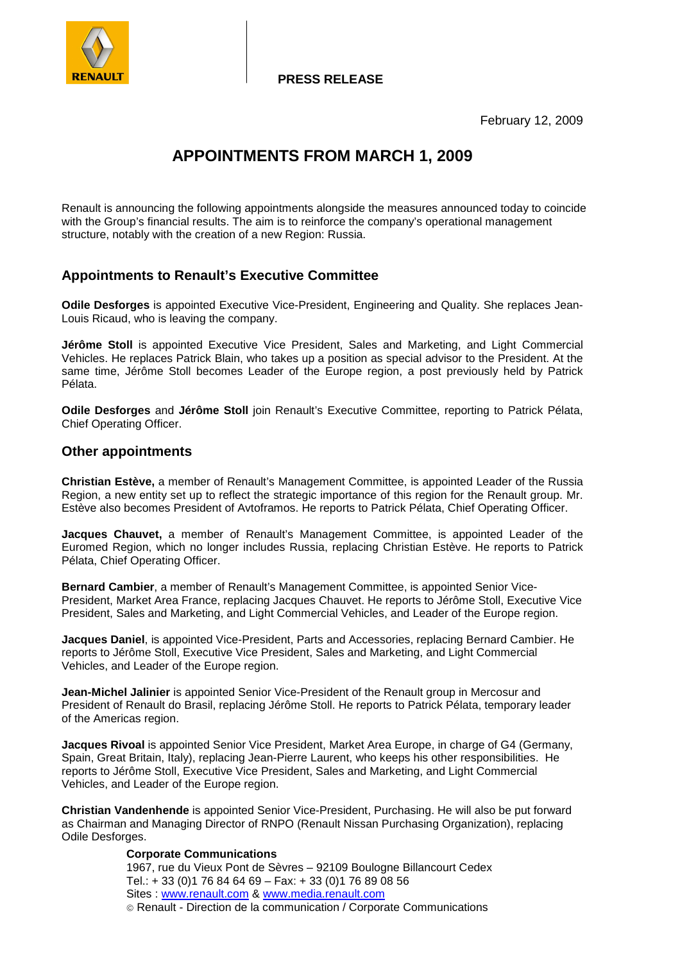

### **PRESS RELEASE**

February 12, 2009

# **APPOINTMENTS FROM MARCH 1, 2009**

Renault is announcing the following appointments alongside the measures announced today to coincide with the Group's financial results. The aim is to reinforce the company's operational management structure, notably with the creation of a new Region: Russia.

## **Appointments to Renault's Executive Committee**

**Odile Desforges** is appointed Executive Vice-President, Engineering and Quality. She replaces Jean-Louis Ricaud, who is leaving the company.

**Jérôme Stoll** is appointed Executive Vice President, Sales and Marketing, and Light Commercial Vehicles. He replaces Patrick Blain, who takes up a position as special advisor to the President. At the same time, Jérôme Stoll becomes Leader of the Europe region, a post previously held by Patrick Pélata.

**Odile Desforges** and **Jérôme Stoll** join Renault's Executive Committee, reporting to Patrick Pélata, Chief Operating Officer.

## **Other appointments**

**Christian Estève,** a member of Renault's Management Committee, is appointed Leader of the Russia Region, a new entity set up to reflect the strategic importance of this region for the Renault group. Mr. Estève also becomes President of Avtoframos. He reports to Patrick Pélata, Chief Operating Officer.

**Jacques Chauvet,** a member of Renault's Management Committee, is appointed Leader of the Euromed Region, which no longer includes Russia, replacing Christian Estève. He reports to Patrick Pélata, Chief Operating Officer.

**Bernard Cambier**, a member of Renault's Management Committee, is appointed Senior Vice-President, Market Area France, replacing Jacques Chauvet. He reports to Jérôme Stoll, Executive Vice President, Sales and Marketing, and Light Commercial Vehicles, and Leader of the Europe region.

**Jacques Daniel**, is appointed Vice-President, Parts and Accessories, replacing Bernard Cambier. He reports to Jérôme Stoll, Executive Vice President, Sales and Marketing, and Light Commercial Vehicles, and Leader of the Europe region.

**Jean-Michel Jalinier** is appointed Senior Vice-President of the Renault group in Mercosur and President of Renault do Brasil, replacing Jérôme Stoll. He reports to Patrick Pélata, temporary leader of the Americas region.

**Jacques Rivoal** is appointed Senior Vice President, Market Area Europe, in charge of G4 (Germany, Spain, Great Britain, Italy), replacing Jean-Pierre Laurent, who keeps his other responsibilities. He reports to Jérôme Stoll, Executive Vice President, Sales and Marketing, and Light Commercial Vehicles, and Leader of the Europe region.

**Christian Vandenhende** is appointed Senior Vice-President, Purchasing. He will also be put forward as Chairman and Managing Director of RNPO (Renault Nissan Purchasing Organization), replacing Odile Desforges.

#### **Corporate Communications**

1967, rue du Vieux Pont de Sèvres – 92109 Boulogne Billancourt Cedex Tel.: + 33 (0)1 76 84 64 69 – Fax: + 33 (0)1 76 89 08 56 Sites : www.renault.com & www.media.renault.com Renault - Direction de la communication / Corporate Communications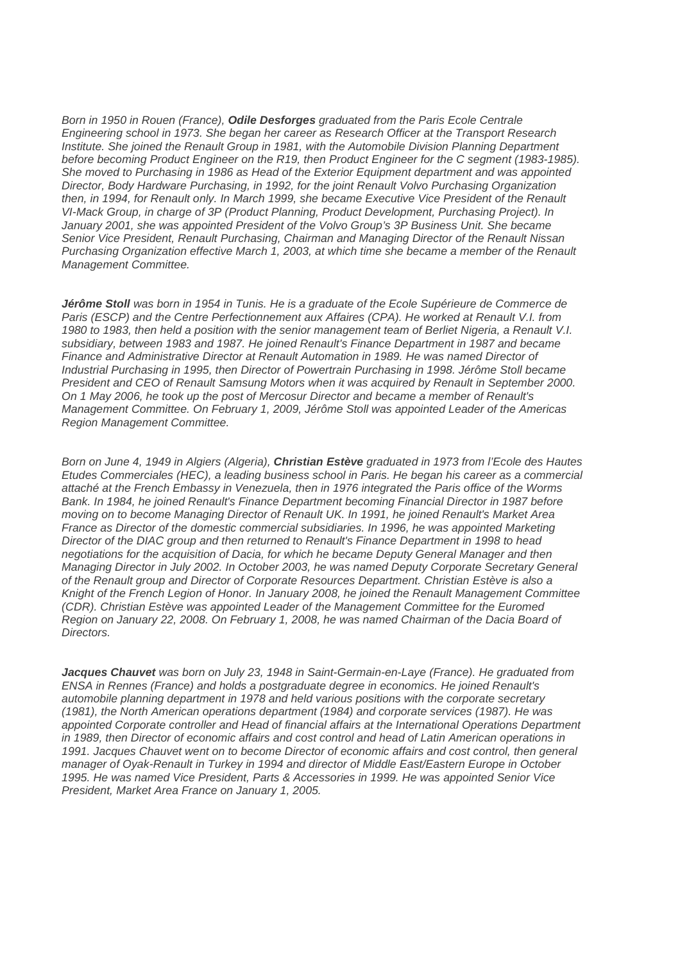Born in 1950 in Rouen (France), **Odile Desforges** graduated from the Paris Ecole Centrale Engineering school in 1973. She began her career as Research Officer at the Transport Research Institute. She joined the Renault Group in 1981, with the Automobile Division Planning Department before becoming Product Engineer on the R19, then Product Engineer for the C segment (1983-1985). She moved to Purchasing in 1986 as Head of the Exterior Equipment department and was appointed Director, Body Hardware Purchasing, in 1992, for the joint Renault Volvo Purchasing Organization then, in 1994, for Renault only. In March 1999, she became Executive Vice President of the Renault VI-Mack Group, in charge of 3P (Product Planning, Product Development, Purchasing Project). In January 2001, she was appointed President of the Volvo Group's 3P Business Unit. She became Senior Vice President, Renault Purchasing, Chairman and Managing Director of the Renault Nissan Purchasing Organization effective March 1, 2003, at which time she became a member of the Renault Management Committee.

**Jérôme Stoll** was born in 1954 in Tunis. He is a graduate of the Ecole Supérieure de Commerce de Paris (ESCP) and the Centre Perfectionnement aux Affaires (CPA). He worked at Renault V.I. from 1980 to 1983, then held a position with the senior management team of Berliet Nigeria, a Renault V.I. subsidiary, between 1983 and 1987. He joined Renault's Finance Department in 1987 and became Finance and Administrative Director at Renault Automation in 1989. He was named Director of Industrial Purchasing in 1995, then Director of Powertrain Purchasing in 1998. Jérôme Stoll became President and CEO of Renault Samsung Motors when it was acquired by Renault in September 2000. On 1 May 2006, he took up the post of Mercosur Director and became a member of Renault's Management Committee. On February 1, 2009, Jérôme Stoll was appointed Leader of the Americas Region Management Committee.

Born on June 4, 1949 in Algiers (Algeria), **Christian Estève** graduated in 1973 from l'Ecole des Hautes Etudes Commerciales (HEC), a leading business school in Paris. He began his career as a commercial attaché at the French Embassy in Venezuela, then in 1976 integrated the Paris office of the Worms Bank. In 1984, he joined Renault's Finance Department becoming Financial Director in 1987 before moving on to become Managing Director of Renault UK. In 1991, he joined Renault's Market Area France as Director of the domestic commercial subsidiaries. In 1996, he was appointed Marketing Director of the DIAC group and then returned to Renault's Finance Department in 1998 to head negotiations for the acquisition of Dacia, for which he became Deputy General Manager and then Managing Director in July 2002. In October 2003, he was named Deputy Corporate Secretary General of the Renault group and Director of Corporate Resources Department. Christian Estève is also a Knight of the French Legion of Honor. In January 2008, he joined the Renault Management Committee (CDR). Christian Estève was appointed Leader of the Management Committee for the Euromed Region on January 22, 2008. On February 1, 2008, he was named Chairman of the Dacia Board of Directors.

**Jacques Chauvet** was born on July 23, 1948 in Saint-Germain-en-Laye (France). He graduated from ENSA in Rennes (France) and holds a postgraduate degree in economics. He joined Renault's automobile planning department in 1978 and held various positions with the corporate secretary (1981), the North American operations department (1984) and corporate services (1987). He was appointed Corporate controller and Head of financial affairs at the International Operations Department in 1989, then Director of economic affairs and cost control and head of Latin American operations in 1991. Jacques Chauvet went on to become Director of economic affairs and cost control, then general manager of Oyak-Renault in Turkey in 1994 and director of Middle East/Eastern Europe in October 1995. He was named Vice President, Parts & Accessories in 1999. He was appointed Senior Vice President, Market Area France on January 1, 2005.